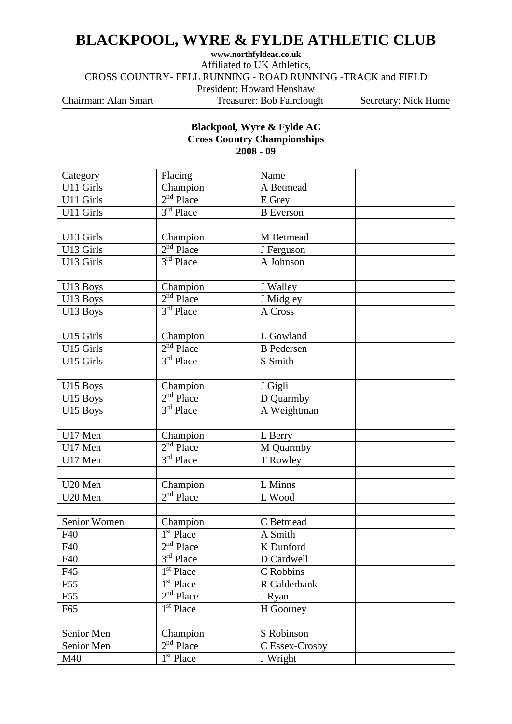## **BLACKPOOL, WYRE & FYLDE ATHLETIC CLUB**

**www.northfyldeac.co.uk**

Affiliated to UK Athletics,

CROSS COUNTRY- FELL RUNNING - ROAD RUNNING -TRACK and FIELD

President: Howard Henshaw

Chairman: Alan Smart Treasurer: Bob Fairclough Secretary: Nick Hume

## **Blackpool, Wyre & Fylde AC Cross Country Championships 2008 - 09**

| Category     | Placing               | Name              |  |
|--------------|-----------------------|-------------------|--|
| U11 Girls    | Champion              | A Betmead         |  |
| U11 Girls    | $2nd$ Place           | E Grey            |  |
| U11 Girls    | $3rd$ Place           | <b>B</b> Everson  |  |
|              |                       |                   |  |
| U13 Girls    | Champion              | M Betmead         |  |
| U13 Girls    | $2nd$ Place           | J Ferguson        |  |
| U13 Girls    | $3rd$ Place           | A Johnson         |  |
|              |                       |                   |  |
| U13 Boys     | Champion              | J Walley          |  |
| U13 Boys     | $2nd$ Place           | J Midgley         |  |
| U13 Boys     | $3rd$ Place           | A Cross           |  |
|              |                       |                   |  |
| U15 Girls    | Champion              | L Gowland         |  |
| U15 Girls    | $2nd$ Place           | <b>B</b> Pedersen |  |
| U15 Girls    | $3rd$ Place           | S Smith           |  |
|              |                       |                   |  |
| U15 Boys     | Champion              | J Gigli           |  |
| U15 Boys     | $2nd$ Place           | D Quarmby         |  |
| U15 Boys     | $3rd$ Place           | A Weightman       |  |
|              |                       |                   |  |
| U17 Men      | Champion              | L Berry           |  |
| U17 Men      | $2nd$ Place           | M Quarmby         |  |
| U17 Men      | $3rd$ Place           | T Rowley          |  |
|              |                       |                   |  |
| U20 Men      | Champion              | L Minns           |  |
| U20 Men      | $2nd$ Place           | L Wood            |  |
|              |                       |                   |  |
| Senior Women | Champion              | C Betmead         |  |
| F40          | $1st$ Place           | A Smith           |  |
| F40          | $2nd$ Place           | K Dunford         |  |
| F40          | $3rd$ Place           | D Cardwell        |  |
| F45          | 1 <sup>st</sup> Place | C Robbins         |  |
| F55          | 1 <sup>st</sup> Place | R Calderbank      |  |
| F55          | $2nd$ Place           | J Ryan            |  |
| F65          | 1 <sup>st</sup> Place | H Goorney         |  |
|              |                       |                   |  |
| Senior Men   | Champion              | S Robinson        |  |
| Senior Men   | $2nd$ Place           | C Essex-Crosby    |  |
| M40          | $1st$ Place           | J Wright          |  |
|              |                       |                   |  |